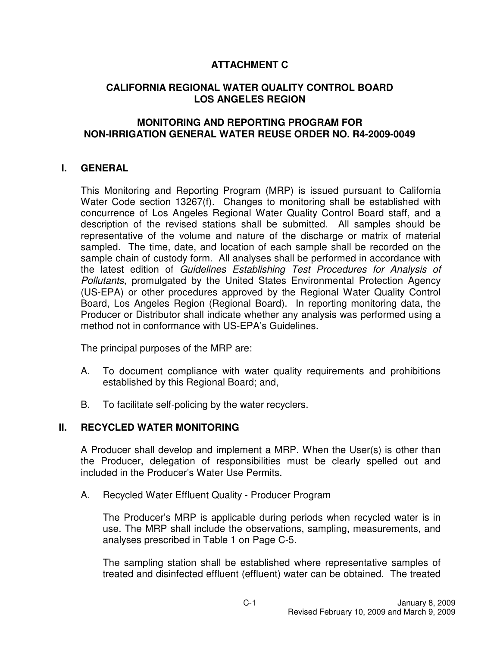# **ATTACHMENT C**

## **CALIFORNIA REGIONAL WATER QUALITY CONTROL BOARD LOS ANGELES REGION**

### **MONITORING AND REPORTING PROGRAM FOR NON-IRRIGATION GENERAL WATER REUSE ORDER NO. R4-2009-0049**

#### **1 I. GENERAL**

 This Monitoring and Reporting Program (MRP) is issued pursuant to California Water Code section 13267(f). Changes to monitoring shall be established with concurrence of Los Angeles Regional Water Quality Control Board staff, and a description of the revised stations shall be submitted. All samples should be representative of the volume and nature of the discharge or matrix of material sampled. The time, date, and location of each sample shall be recorded on the sample chain of custody form. All analyses shall be performed in accordance with the latest edition of *Guidelines Establishing Test Procedures for Analysis of*  **Pollutants, promulgated by the United States Environmental Protection Agency**  (UR-EPA) or other procedures approved by the Regional Water Quality Control Board, Los Angeles Region (Regional Board). In reporting monitoring data, the Producer or Distributor shall indicate whether any analysis was performed using a method not in conformance with UR-EPA's Guidelines.

The principal purposes of the MRP are:

- A. established by this Regional Board; and, To document compliance with water quality requirements and prohibitions
- B. To facilitate self-policing by the water recyclers.

#### **11 IRECYCLED WATER MONITORING**

 A Producer shall develop and implement a MRP. When the User(s) is other than the Producer, delegation of responsibilities must be clearly spelled out and included in the Producer's Water Use Permits.

A. Recycled Water Effluent Quality - Producer Program

 The Producer's MRP is applicable during periods when recycled water is in use. The MRP shall include the observations, sampling, measurements, and analyses prescribed in Table 1 on Page C-5.

 The sampling station shall be established where representative samples of treated and disinfected effluent (effluent) water can be obtained. The treated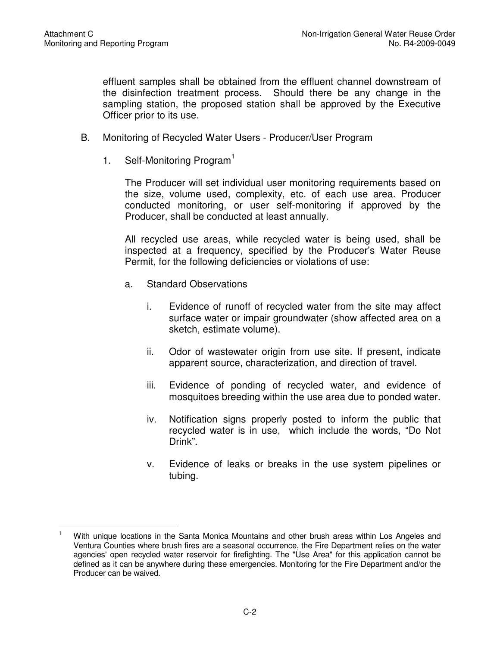effluent samples shall be obtained from the effluent channel downstream of the disinfection treatment process. Rhould there be any change in the sampling station, the proposed station shall be approved by the Executive Officer prior to its use.

- **B.** Monitoring of Recycled Water Users - Producer/User Program
	- 1. Self-Monitoring Program<sup>1</sup>

 The Producer will set individual user monitoring requirements based on the size, volume used, complexity, etc. of each use area. Producer conducted monitoring, or user self-monitoring if approved by the Producer, shall be conducted at least annually.

 All recycled use areas, while recycled water is being used, shall be inspected at a frequency, specified by the Producer's Water Reuse Permit, for the following deficiencies or violations of use:

- $a<sub>z</sub>$ **Standard Observations** 
	- i. Evidence of runoff of recycled water from the site may affect surface water or impair groundwater (show affected area on a sketch, estimate volume).
	- ii. apparent source, characterization, and direction of travel. Odor of wastewater origin from use site. If present, indicate
	- iii. Evidence of ponding of recycled water, and evidence of mosquitoes breeding within the use area due to ponded water.
	- iv. Notification signs properly posted to inform the public that recycled water is in use, which include the words, "Do Not Drink".
	- v. Evidence of leaks or breaks in the use system pipelines or tubing.

 $\overline{a}$  Ventura Counties where brush fires are a seasonal occurrence, the Fire Department relies on the water agencies'open recycled water reservoir for firefighting. The "Use Area" for this application cannot be defined as it can be anywhere during these emergencies. Monitoring for the Fire Department and/or the Producer can be waived. With unique locations in the Santa Monica Mountains and other brush areas within Los Angeles and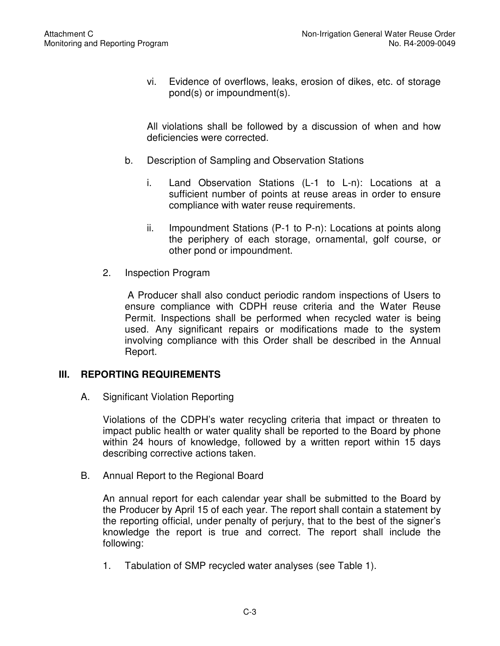vi. Evidence of overflows, leaks, erosion of dikes, etc. of storage pond(s) or impoundment(s).

 All violations shall be followed by a discussion of when and how deficiencies were corrected.

- b. **Description of Sampling and Observation Stations** 
	- i. sufficient number of points at reuse areas in order to ensure compliance with water reuse requirements. Land Observation Stations (L-1 to L-n): Locations at a
	- ii. the periphery of each storage, ornamental, golf course, or other pond or impoundment. Impoundment Stations (P-1 to P-n): Locations at points along
- $2.$ 2. Inspection Program

 A Producer shall also conduct periodic random inspections of Users to ensure compliance with CDPH reuse criteria and the Water Reuse Permit. Inspections shall be performed when recycled water is being used. Any significant repairs or modifications made to the system involving compliance with this Order shall be described in the Annual Report.

### **III. REPORTING REQUIREMENTS**

A. **Significant Violation Reporting** 

> Violations of the CDPH's water recycling criteria that impact or threaten to impact public health or water quality shall be reported to the Board by phone within 24 hours of knowledge, followed by a written report within 15 days describing corrective actions taken.

B. Annual Report to the Regional Board

 An annual report for each calendar year shall be submitted to the Board by the Producer by April 15 of each year. The report shall contain a statement by the reporting official, under penalty of perjury, that to the best of the signer's knowledge the report is true and correct. The report shall include the following:

1. Tabulation of SMP recycled water analyses (see Table 1).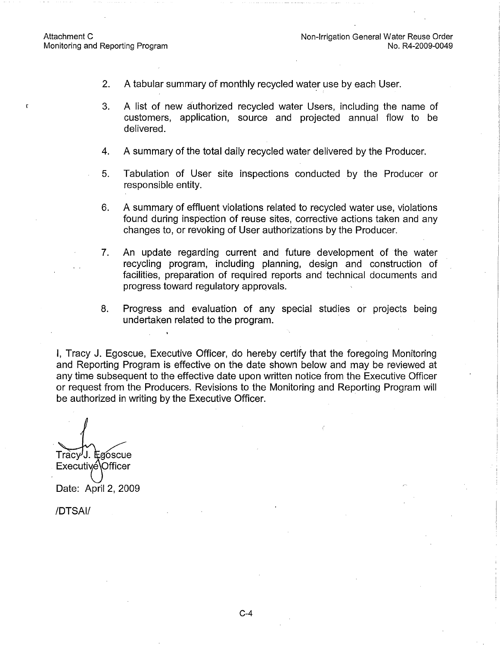- 2. A tabular summary of monthly recycled water use by each User.
- 3. A list of new authorized recycled water Users, including the name of customers, application, source and projected annual flow to be delivered.
- 4. A summary of the total daily recycled water delivered by the Producer.
- 5. Tabulation of User site inspections conducted by the Producer or responsible entity.
- 6. A summary of effluent violations related to recycled water use, violations found during inspection of reuse sites, corrective actions taken and any changes to, or revoking of User authorizations by the Producer.
- 7. An update regarding current and future development of the water recycling program, including planning, design and construction of facilities, preparation of required reports and technical documents and progress toward regulatory approvals.
- 8. Progress and evaluation of any special studies or projects being undertaken related to the program.

I, Tracy J. Egoscue, Executive Officer, do hereby certify that the foregoing Monitoring and Reporting Program is effective on the date shown below and may be reviewed at any time subsequent to the effective date upon written notice from the Executive Officer or request from the Producers. Revisions to the Monitoring and Reporting Program will be authorized in writing by the Executive Officer.

Tracy J. Egóscue Executivé Officer

Date: April 2, 2009

/DTSAI/